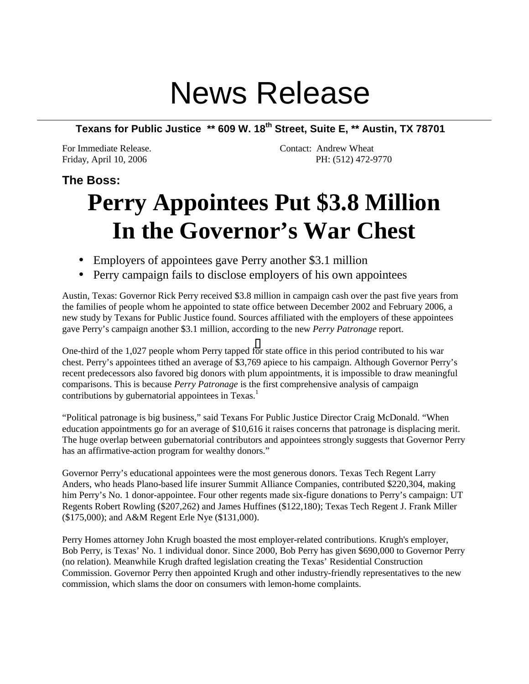## News Release

**Texans for Public Justice \*\* 609 W. 18th Street, Suite E, \*\* Austin, TX 78701**

For Immediate Release. The Contact: Andrew Wheat Friday, April 10, 2006 PH: (512) 472-9770

## **The Boss:**

## **Perry Appointees Put \$3.8 Million In the Governor's War Chest**

- Employers of appointees gave Perry another \$3.1 million
- Perry campaign fails to disclose employers of his own appointees

Austin, Texas: Governor Rick Perry received \$3.8 million in campaign cash over the past five years from the families of people whom he appointed to state office between December 2002 and February 2006, a new study by Texans for Public Justice found. Sources affiliated with the employers of these appointees gave Perry's campaign another \$3.1 million, according to the new *Perry Patronage* report.

One-third of the 1,027 people whom Perry tapped f[or](#page-1-0) state office in this period contributed to his war chest. Perry's appointees tithed an average of \$3,769 apiece to his campaign. Although Governor Perry's recent predecessors also favored big donors with plum appointments, it is impossible to draw meaningful comparisons. This is because *Perry Patronage* is the first comprehensive analysis of campaign contributions by gubernatorial appointees in  $Texas<sup>1</sup>$ .

"Political patronage is big business," said Texans For Public Justice Director Craig McDonald. "When education appointments go for an average of \$10,616 it raises concerns that patronage is displacing merit. The huge overlap between gubernatorial contributors and appointees strongly suggests that Governor Perry has an affirmative-action program for wealthy donors."

Governor Perry's educational appointees were the most generous donors. Texas Tech Regent Larry Anders, who heads Plano-based life insurer Summit Alliance Companies, contributed \$220,304, making him Perry's No. 1 donor-appointee. Four other regents made six-figure donations to Perry's campaign: UT Regents Robert Rowling (\$207,262) and James Huffines (\$122,180); Texas Tech Regent J. Frank Miller (\$175,000); and A&M Regent Erle Nye (\$131,000).

Perry Homes attorney John Krugh boasted the most employer-related contributions. Krugh's employer, Bob Perry, is Texas' No. 1 individual donor. Since 2000, Bob Perry has given \$690,000 to Governor Perry (no relation). Meanwhile Krugh drafted legislation creating the Texas' Residential Construction Commission. Governor Perry then appointed Krugh and other industry-friendly representatives to the new commission, which slams the door on consumers with lemon-home complaints.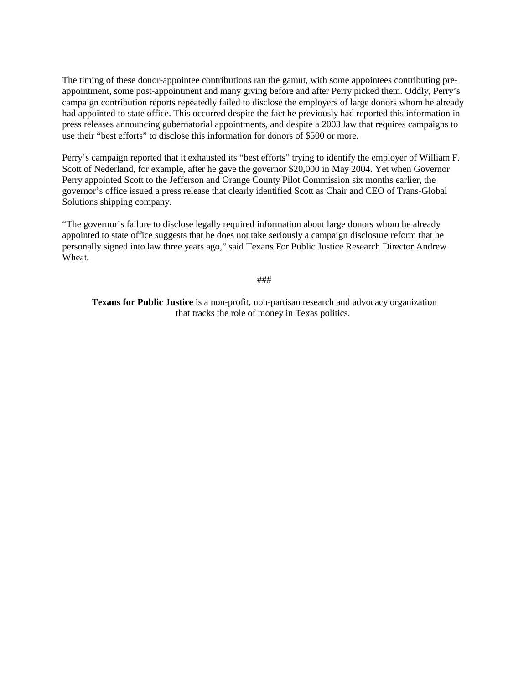<span id="page-1-0"></span>The timing of these donor-appointee contributions ran the gamut, with some appointees contributing preappointment, some post-appointment and many giving before and after Perry picked them. Oddly, Perry's campaign contribution reports repeatedly failed to disclose the employers of large donors whom he already had appointed to state office. This occurred despite the fact he previously had reported this information in press releases announcing gubernatorial appointments, and despite a 2003 law that requires campaigns to use their "best efforts" to disclose this information for donors of \$500 or more.

Perry's campaign reported that it exhausted its "best efforts" trying to identify the employer of William F. Scott of Nederland, for example, after he gave the governor \$20,000 in May 2004. Yet when Governor Perry appointed Scott to the Jefferson and Orange County Pilot Commission six months earlier, the governor's office issued a press release that clearly identified Scott as Chair and CEO of Trans-Global Solutions shipping company.

"The governor's failure to disclose legally required information about large donors whom he already appointed to state office suggests that he does not take seriously a campaign disclosure reform that he personally signed into law three years ago," said Texans For Public Justice Research Director Andrew Wheat.

###

**Texans for Public Justice** is a non-profit, non-partisan research and advocacy organization that tracks the role of money in Texas politics.